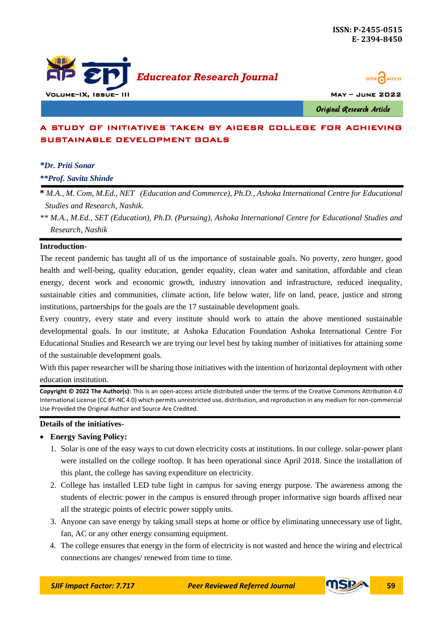



Original Research Article

# A STUDY OF INITIATIVES TAKEN BY AICESR COLLEGE FOR ACHIEVING SUSTAINABLE DEVELOPMENT GOALS

# *\*Dr. Priti Sonar*

*\*\*Prof. Savita Shinde*

**\*** *M.A., M. Com, M.Ed., NET (Education and Commerce), Ph.D., Ashoka International Centre for Educational Studies and Research, Nashik.*

*\*\* M.A., M.Ed., SET (Education), Ph.D. (Pursuing), Ashoka International Centre for Educational Studies and Research, Nashik*

#### **Introduction-**

The recent pandemic has taught all of us the importance of sustainable goals. No poverty, zero hunger, good health and well-being, quality education, gender equality, clean water and sanitation, affordable and clean energy, decent work and economic growth, industry innovation and infrastructure, reduced inequality, sustainable cities and communities, climate action, life below water, life on land, peace, justice and strong institutions, partnerships for the goals are the 17 sustainable development goals.

Every country, every state and every institute should work to attain the above mentioned sustainable developmental goals. In our institute, at Ashoka Education Foundation Ashoka International Centre For Educational Studies and Research we are trying our level best by taking number of initiatives for attaining some of the sustainable development goals.

With this paper researcher will be sharing those initiatives with the intention of horizontal deployment with other education institution.

**Copyright © 2022 The Author(s):** This is an open-access article distributed under the terms of the Creative Commons Attribution 4.0 International License (CC BY-NC 4.0) which permits unrestricted use, distribution, and reproduction in any medium for non-commercial Use Provided the Original Author and Source Are Credited.

#### **Details of the initiatives-**

#### **Energy Saving Policy:**

- 1. Solar is one of the easy ways to cut down electricity costs at institutions. In our college. solar-power plant were installed on the college rooftop. It has been operational since April 2018. Since the installation of this plant, the college has saving expenditure on electricity.
- 2. College has installed LED tube light in campus for saving energy purpose. The awareness among the students of electric power in the campus is ensured through proper informative sign boards affixed near all the strategic points of electric power supply units.
- 3. Anyone can save energy by taking small steps at home or office by eliminating unnecessary use of light, fan, AC or any other energy consuming equipment.
- 4. The college ensures that energy in the form of electricity is not wasted and hence the wiring and electrical connections are changes/ renewed from time to time.

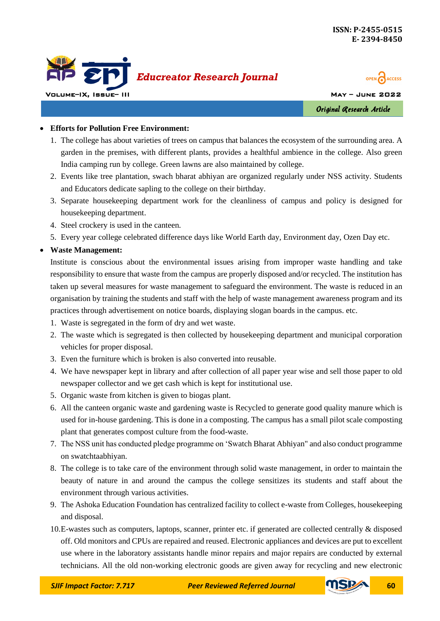



Original Research Article

# **Efforts for Pollution Free Environment:**

- 1. The college has about varieties of trees on campus that balances the ecosystem of the surrounding area. A garden in the premises, with different plants, provides a healthful ambience in the college. Also green India camping run by college. Green lawns are also maintained by college.
- 2. Events like tree plantation, swach bharat abhiyan are organized regularly under NSS activity. Students and Educators dedicate sapling to the college on their birthday.
- 3. Separate housekeeping department work for the cleanliness of campus and policy is designed for housekeeping department.
- 4. Steel crockery is used in the canteen.
- 5. Every year college celebrated difference days like World Earth day, Environment day, Ozen Day etc.

# **Waste Management:**

Institute is conscious about the environmental issues arising from improper waste handling and take responsibility to ensure that waste from the campus are properly disposed and/or recycled. The institution has taken up several measures for waste management to safeguard the environment. The waste is reduced in an organisation by training the students and staff with the help of waste management awareness program and its practices through advertisement on notice boards, displaying slogan boards in the campus. etc.

- 1. Waste is segregated in the form of dry and wet waste.
- 2. The waste which is segregated is then collected by housekeeping department and municipal corporation vehicles for proper disposal.
- 3. Even the furniture which is broken is also converted into reusable.
- 4. We have newspaper kept in library and after collection of all paper year wise and sell those paper to old newspaper collector and we get cash which is kept for institutional use.
- 5. Organic waste from kitchen is given to biogas plant.
- 6. All the canteen organic waste and gardening waste is Recycled to generate good quality manure which is used for in-house gardening. This is done in a composting. The campus has a small pilot scale composting plant that generates compost culture from the food-waste.
- 7. The NSS unit has conducted pledge programme on 'Swatch Bharat Abhiyan" and also conduct programme on swatchtaabhiyan.
- 8. The college is to take care of the environment through solid waste management, in order to maintain the beauty of nature in and around the campus the college sensitizes its students and staff about the environment through various activities.
- 9. The Ashoka Education Foundation has centralized facility to collect e-waste from Colleges, housekeeping and disposal.
- 10.E-wastes such as computers, laptops, scanner, printer etc. if generated are collected centrally & disposed off. Old monitors and CPUs are repaired and reused. Electronic appliances and devices are put to excellent use where in the laboratory assistants handle minor repairs and major repairs are conducted by external technicians. All the old non-working electronic goods are given away for recycling and new electronic

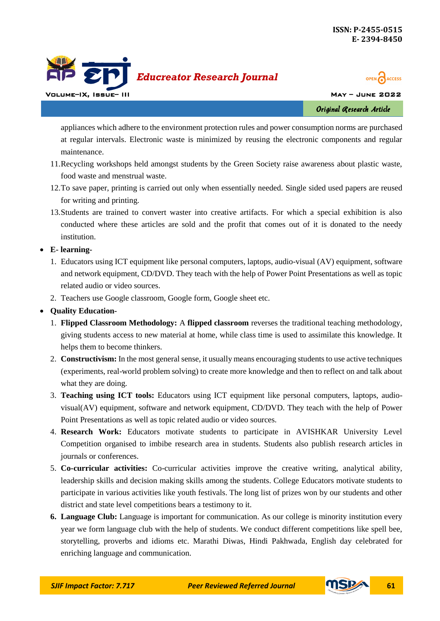



Original Research Article

appliances which adhere to the environment protection rules and power consumption norms are purchased at regular intervals. Electronic waste is minimized by reusing the electronic components and regular maintenance.

- 11.Recycling workshops held amongst students by the Green Society raise awareness about plastic waste, food waste and menstrual waste.
- 12.To save paper, printing is carried out only when essentially needed. Single sided used papers are reused for writing and printing.
- 13.Students are trained to convert waster into creative artifacts. For which a special exhibition is also conducted where these articles are sold and the profit that comes out of it is donated to the needy institution.

**E- learning-**

- 1. Educators using ICT equipment like personal computers, laptops, audio-visual (AV) equipment, software and network equipment, CD/DVD. They teach with the help of Power Point Presentations as well as topic related audio or video sources.
- 2. Teachers use Google classroom, Google form, Google sheet etc.
- **Quality Education-**
	- 1. **Flipped Classroom Methodology:** A **flipped classroom** reverses the traditional teaching methodology, giving students access to new material at home, while class time is used to assimilate this knowledge. It helps them to become thinkers.
	- 2. **Constructivism:** In the most general sense, it usually means encouraging students to use active techniques (experiments, real-world problem solving) to create more knowledge and then to reflect on and talk about what they are doing.
	- 3. **Teaching using ICT tools:** Educators using ICT equipment like personal computers, laptops, audiovisual(AV) equipment, software and network equipment, CD/DVD. They teach with the help of Power Point Presentations as well as topic related audio or video sources.
	- 4. **Research Work:** Educators motivate students to participate in AVISHKAR University Level Competition organised to imbibe research area in students. Students also publish research articles in journals or conferences.
	- 5. **Co-curricular activities:** Co-curricular activities improve the creative writing, analytical ability, leadership skills and decision making skills among the students. College Educators motivate students to participate in various activities like youth festivals. The long list of prizes won by our students and other district and state level competitions bears a testimony to it.
	- **6. Language Club:** Language is important for communication. As our college is minority institution every year we form language club with the help of students. We conduct different competitions like spell bee, storytelling, proverbs and idioms etc. Marathi Diwas, Hindi Pakhwada, English day celebrated for enriching language and communication.